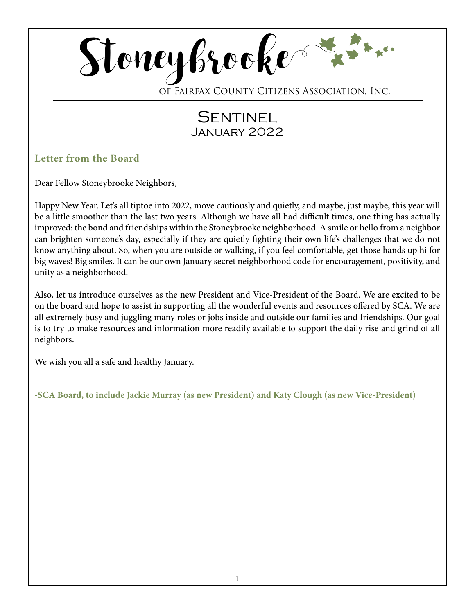

of Fairfax County Citizens Association, Inc.

# **SENTINEL** January 2022

# **Letter from the Board**

Dear Fellow Stoneybrooke Neighbors,

Happy New Year. Let's all tiptoe into 2022, move cautiously and quietly, and maybe, just maybe, this year will be a little smoother than the last two years. Although we have all had difficult times, one thing has actually improved: the bond and friendships within the Stoneybrooke neighborhood. A smile or hello from a neighbor can brighten someone's day, especially if they are quietly fighting their own life's challenges that we do not know anything about. So, when you are outside or walking, if you feel comfortable, get those hands up hi for big waves! Big smiles. It can be our own January secret neighborhood code for encouragement, positivity, and unity as a neighborhood.

Also, let us introduce ourselves as the new President and Vice-President of the Board. We are excited to be on the board and hope to assist in supporting all the wonderful events and resources offered by SCA. We are all extremely busy and juggling many roles or jobs inside and outside our families and friendships. Our goal is to try to make resources and information more readily available to support the daily rise and grind of all neighbors.

We wish you all a safe and healthy January.

**-SCA Board, to include Jackie Murray (as new President) and Katy Clough (as new Vice-President)**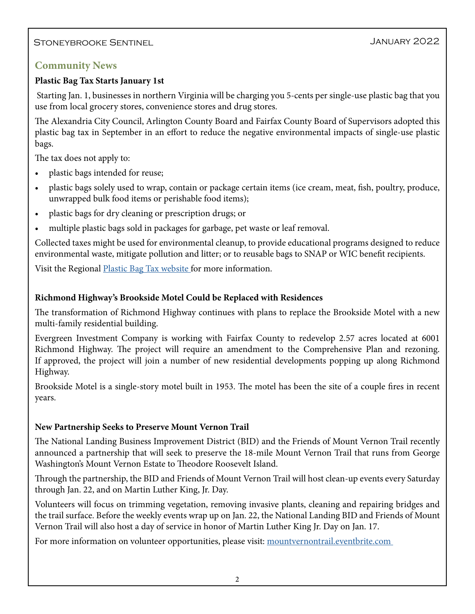# Stoneybrooke Sentinel January 2022

# **Community News**

## **Plastic Bag Tax Starts January 1st**

 Starting Jan. 1, businesses in northern Virginia will be charging you 5-cents per single-use plastic bag that you use from local grocery stores, convenience stores and drug stores.

The Alexandria City Council, Arlington County Board and Fairfax County Board of Supervisors adopted this plastic bag tax in September in an effort to reduce the negative environmental impacts of single-use plastic bags.

The tax does not apply to:

- plastic bags intended for reuse;
- plastic bags solely used to wrap, contain or package certain items (ice cream, meat, fish, poultry, produce, unwrapped bulk food items or perishable food items);
- plastic bags for dry cleaning or prescription drugs; or
- multiple plastic bags sold in packages for garbage, pet waste or leaf removal.

Collected taxes might be used for environmental cleanup, to provide educational programs designed to reduce environmental waste, mitigate pollution and litter; or to reusable bags to SNAP or WIC benefit recipients.

Visit the Regional **Plastic Bag Tax website** for more information.

### **Richmond Highway's Brookside Motel Could be Replaced with Residences**

The transformation of Richmond Highway continues with plans to replace the Brookside Motel with a new multi-family residential building.

Evergreen Investment Company is working with Fairfax County to redevelop 2.57 acres located at 6001 Richmond Highway. The project will require an amendment to the Comprehensive Plan and rezoning. If approved, the project will join a number of new residential developments popping up along Richmond Highway.

Brookside Motel is a single-story motel built in 1953. The motel has been the site of a couple fires in recent years.

### **New Partnership Seeks to Preserve Mount Vernon Trail**

The National Landing Business Improvement District (BID) and the Friends of Mount Vernon Trail recently announced a partnership that will seek to preserve the 18-mile Mount Vernon Trail that runs from George Washington's Mount Vernon Estate to Theodore Roosevelt Island.

Through the partnership, the BID and Friends of Mount Vernon Trail will host clean-up events every Saturday through Jan. 22, and on Martin Luther King, Jr. Day.

Volunteers will focus on trimming vegetation, removing invasive plants, cleaning and repairing bridges and the trail surface. Before the weekly events wrap up on Jan. 22, the National Landing BID and Friends of Mount Vernon Trail will also host a day of service in honor of Martin Luther King Jr. Day on Jan. 17.

For more information on volunteer opportunities, please visit: [mountvernontrail.eventbrite.com](http://mountvernontrail.eventbrite.com )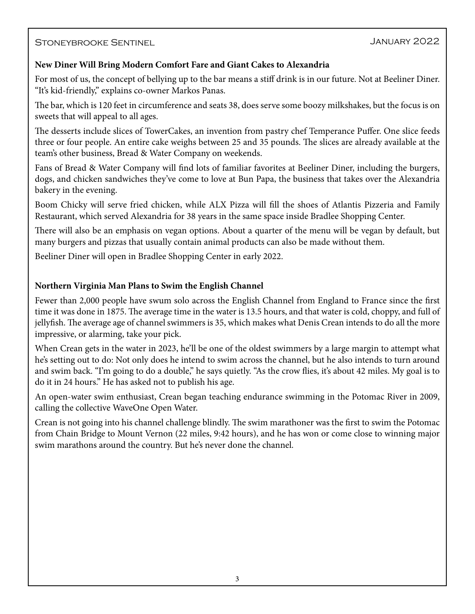#### Stoneybrooke Sentinel

#### **New Diner Will Bring Modern Comfort Fare and Giant Cakes to Alexandria**

For most of us, the concept of bellying up to the bar means a stiff drink is in our future. Not at Beeliner Diner. "It's kid-friendly," explains co-owner Markos Panas.

The bar, which is 120 feet in circumference and seats 38, does serve some boozy milkshakes, but the focus is on sweets that will appeal to all ages.

The desserts include slices of TowerCakes, an invention from pastry chef Temperance Puffer. One slice feeds three or four people. An entire cake weighs between 25 and 35 pounds. The slices are already available at the team's other business, Bread & Water Company on weekends.

Fans of Bread & Water Company will find lots of familiar favorites at Beeliner Diner, including the burgers, dogs, and chicken sandwiches they've come to love at Bun Papa, the business that takes over the Alexandria bakery in the evening.

Boom Chicky will serve fried chicken, while ALX Pizza will fill the shoes of Atlantis Pizzeria and Family Restaurant, which served Alexandria for 38 years in the same space inside Bradlee Shopping Center.

There will also be an emphasis on vegan options. About a quarter of the menu will be vegan by default, but many burgers and pizzas that usually contain animal products can also be made without them.

Beeliner Diner will open in Bradlee Shopping Center in early 2022.

#### **Northern Virginia Man Plans to Swim the English Channel**

Fewer than 2,000 people have swum solo across the English Channel from England to France since the first time it was done in 1875. The average time in the water is 13.5 hours, and that water is cold, choppy, and full of jellyfish. The average age of channel swimmers is 35, which makes what Denis Crean intends to do all the more impressive, or alarming, take your pick.

When Crean gets in the water in 2023, he'll be one of the oldest swimmers by a large margin to attempt what he's setting out to do: Not only does he intend to swim across the channel, but he also intends to turn around and swim back. "I'm going to do a double," he says quietly. "As the crow flies, it's about 42 miles. My goal is to do it in 24 hours." He has asked not to publish his age.

An open-water swim enthusiast, Crean began teaching endurance swimming in the Potomac River in 2009, calling the collective WaveOne Open Water.

Crean is not going into his channel challenge blindly. The swim marathoner was the first to swim the Potomac from Chain Bridge to Mount Vernon (22 miles, 9:42 hours), and he has won or come close to winning major swim marathons around the country. But he's never done the channel.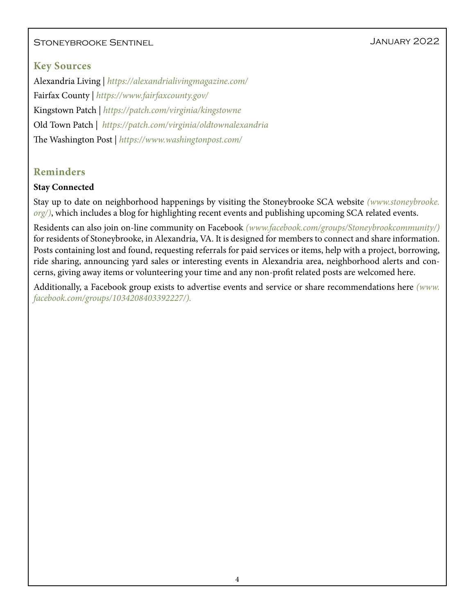# Stoneybrooke Sentinel January 2022

# **Key Sources**

Alexandria Living | *<https://alexandrialivingmagazine.com/>* Fairfax County | *<https://www.fairfaxcounty.gov/>* Kingstown Patch |*<https://patch.com/virginia/kingstowne>* Old Town Patch | *<https://patch.com/virginia/oldtownalexandria>* The Washington Post | *<https://www.washingtonpost.com/>*

# **Reminders**

#### **Stay Connected**

Stay up to date on neighborhood happenings by visiting the Stoneybrooke SCA website *[\(www.stoneybrooke.](http://www.stoneybrooke.org/) [org/\)](http://www.stoneybrooke.org/)*, which includes a blog for highlighting recent events and publishing upcoming SCA related events.

Residents can also join on-line community on Facebook *([www.facebook.com/groups/Stoneybrookcommunity/](http://www.facebook.com/groups/Stoneybrookcommunity/))*  for residents of Stoneybrooke, in Alexandria, VA. It is designed for members to connect and share information. Posts containing lost and found, requesting referrals for paid services or items, help with a project, borrowing, ride sharing, announcing yard sales or interesting events in Alexandria area, neighborhood alerts and concerns, giving away items or volunteering your time and any non-profit related posts are welcomed here.

Additionally, a Facebook group exists to advertise events and service or share recommendations here *([www.](http://www.facebook.com/groups/1034208403392227/) [facebook.com/groups/1034208403392227/](http://www.facebook.com/groups/1034208403392227/)).*